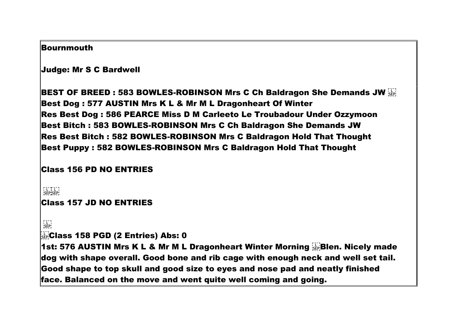#### **Bournmouth**

Judge: Mr S C Bardwell

**BEST OF BREED: 583 BOWLES-ROBINSON Mrs C Ch Baldragon She Demands JW SEPT** Best Dog : 577 AUSTIN Mrs K L & Mr M L Dragonheart Of Winter Res Best Dog : 586 PEARCE Miss D M Carleeto Le Troubadour Under Ozzymoon Best Bitch : 583 BOWLES-ROBINSON Mrs C Ch Baldragon She Demands JW Res Best Bitch : 582 BOWLES-ROBINSON Mrs C Baldragon Hold That Thought Best Puppy : 582 BOWLES-ROBINSON Mrs C Baldragon Hold That Thought

## Class 156 PD NO ENTRIES

```
ר - - ד - - י<br>|SEP|SEP|
Class 157 JD NO ENTRIES
```

```
\frac{1}{2}
```
Class 158 PGD (2 Entries) Abs: 0

1st: 576 AUSTIN Mrs K L & Mr M L Dragonheart Winter Morning Blen. Nicely made dog with shape overall. Good bone and rib cage with enough neck and well set tail. Good shape to top skull and good size to eyes and nose pad and neatly finished face. Balanced on the move and went quite well coming and going.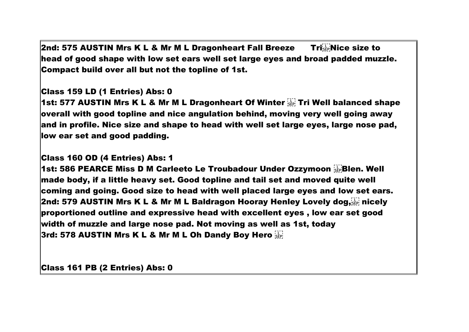**2nd: 575 AUSTIN Mrs K L & Mr M L Dragonheart Fall Breeze**  $\blacksquare$  **Tri** $_{\text{SEP}}^{\text{UL}}$  **Nice size to** head of good shape with low set ears well set large eyes and broad padded muzzle. Compact build over all but not the topline of 1st.

## Class 159 LD (1 Entries) Abs: 0

**1st: 577 AUSTIN Mrs K L & Mr M L Dragonheart Of Winter**  $\frac{177}{356}$  **Tri Well balanced shape** overall with good topline and nice angulation behind, moving very well going away and in profile. Nice size and shape to head with well set large eyes, large nose pad, low ear set and good padding.

## Class 160 OD (4 Entries) Abs: 1

1st: 586 PEARCE Miss D M Carleeto Le Troubadour Under Ozzymoon Blen. Well made body, if a little heavy set. Good topline and tail set and moved quite well coming and going. Good size to head with well placed large eyes and low set ears. **2nd: 579 AUSTIN Mrs K L & Mr M L Baldragon Hooray Henley Lovely dog.**  $\overline{w}$  nicely proportioned outline and expressive head with excellent eyes , low ear set good width of muzzle and large nose pad. Not moving as well as 1st, today 3rd: 578 AUSTIN Mrs K L & Mr M L Oh Dandy Boy Hero

Class 161 PB (2 Entries) Abs: 0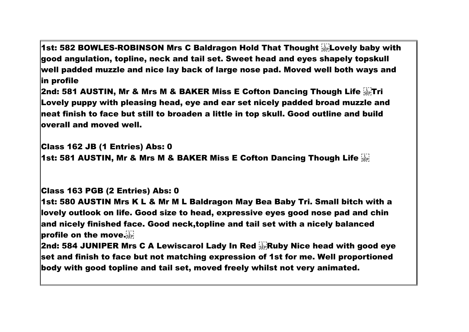1st: 582 BOWLES-ROBINSON Mrs C Baldragon Hold That Thought Lovely baby with good angulation, topline, neck and tail set. Sweet head and eyes shapely topskull well padded muzzle and nice lay back of large nose pad. Moved well both ways and in profile

**2nd: 581 AUSTIN, Mr & Mrs M & BAKER Miss E Cofton Dancing Though Life**  $\frac{17}{35}$ **Tri** Lovely puppy with pleasing head, eye and ear set nicely padded broad muzzle and neat finish to face but still to broaden a little in top skull. Good outline and build overall and moved well.

Class 162 JB (1 Entries) Abs: 0

**1st: 581 AUSTIN, Mr & Mrs M & BAKER Miss E Cofton Dancing Though Life Form** 

# Class 163 PGB (2 Entries) Abs: 0

1st: 580 AUSTIN Mrs K L & Mr M L Baldragon May Bea Baby Tri. Small bitch with a lovely outlook on life. Good size to head, expressive eyes good nose pad and chin and nicely finished face. Good neck,topline and tail set with a nicely balanced profile on the move.

**2nd: 584 JUNIPER Mrs C A Lewiscarol Lady In Red**  $\frac{1}{2}$ **. Ruby Nice head with good eye** set and finish to face but not matching expression of 1st for me. Well proportioned body with good topline and tail set, moved freely whilst not very animated.